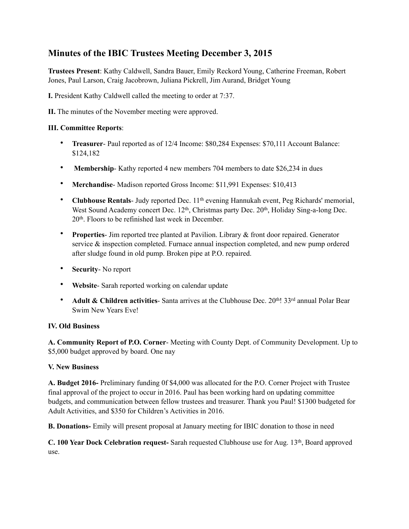# **Minutes of the IBIC Trustees Meeting December 3, 2015**

**Trustees Present**: Kathy Caldwell, Sandra Bauer, Emily Reckord Young, Catherine Freeman, Robert Jones, Paul Larson, Craig Jacobrown, Juliana Pickrell, Jim Aurand, Bridget Young

**I.** President Kathy Caldwell called the meeting to order at 7:37.

**II.** The minutes of the November meeting were approved.

### **III. Committee Reports**:

- **Treasurer** Paul reported as of 12/4 Income: \$80,284 Expenses: \$70,111 Account Balance: \$124,182
- **Membership**-Kathy reported 4 new members 704 members to date \$26,234 in dues
- **Merchandise** Madison reported Gross Income: \$11,991 Expenses: \$10,413
- **Clubhouse Rentals-** Judy reported Dec. 11<sup>th</sup> evening Hannukah event, Peg Richards' memorial, West Sound Academy concert Dec. 12<sup>th</sup>, Christmas party Dec. 20<sup>th</sup>, Holiday Sing-a-long Dec. 20th. Floors to be refinished last week in December.
- **Properties** Jim reported tree planted at Pavilion. Library & front door repaired. Generator service & inspection completed. Furnace annual inspection completed, and new pump ordered after sludge found in old pump. Broken pipe at P.O. repaired.
- **Security** No report
- **Website** Sarah reported working on calendar update
- **Adult & Children activities** Santa arrives at the Clubhouse Dec. 20<sup>th</sup>! 33<sup>rd</sup> annual Polar Bear Swim New Years Eve!

#### **IV. Old Business**

**A. Community Report of P.O. Corner**- Meeting with County Dept. of Community Development. Up to \$5,000 budget approved by board. One nay

#### **V. New Business**

**A. Budget 2016-** Preliminary funding 0f \$4,000 was allocated for the P.O. Corner Project with Trustee final approval of the project to occur in 2016. Paul has been working hard on updating committee budgets, and communication between fellow trustees and treasurer. Thank you Paul! \$1300 budgeted for Adult Activities, and \$350 for Children's Activities in 2016.

**B. Donations-** Emily will present proposal at January meeting for IBIC donation to those in need

**C. 100 Year Dock Celebration request-** Sarah requested Clubhouse use for Aug. 13th, Board approved use.